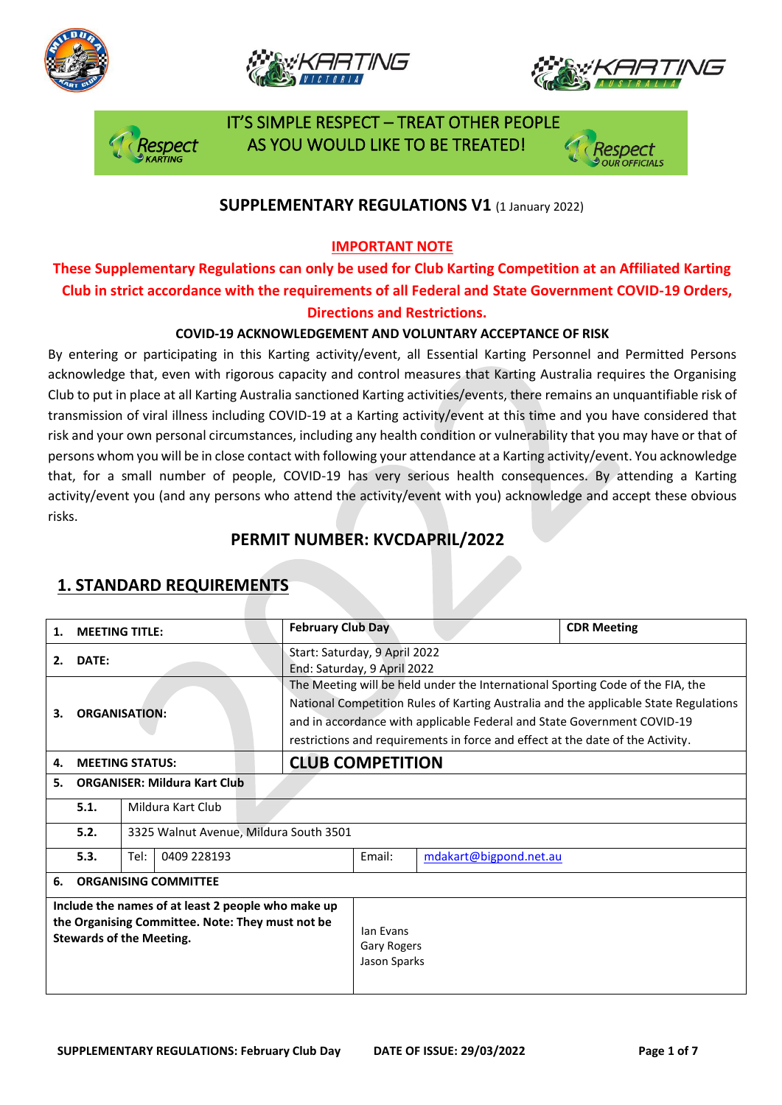







### **SUPPLEMENTARY REGULATIONS V1** (1 January 2022)

### **IMPORTANT NOTE**

### **These Supplementary Regulations can only be used for Club Karting Competition at an Affiliated Karting Club in strict accordance with the requirements of all Federal and State Government COVID-19 Orders, Directions and Restrictions.**

### **COVID-19 ACKNOWLEDGEMENT AND VOLUNTARY ACCEPTANCE OF RISK**

By entering or participating in this Karting activity/event, all Essential Karting Personnel and Permitted Persons acknowledge that, even with rigorous capacity and control measures that Karting Australia requires the Organising Club to put in place at all Karting Australia sanctioned Karting activities/events, there remains an unquantifiable risk of transmission of viral illness including COVID-19 at a Karting activity/event at this time and you have considered that risk and your own personal circumstances, including any health condition or vulnerability that you may have or that of persons whom you will be in close contact with following your attendance at a Karting activity/event. You acknowledge that, for a small number of people, COVID-19 has very serious health consequences. By attending a Karting activity/event you (and any persons who attend the activity/event with you) acknowledge and accept these obvious risks.

### **PERMIT NUMBER: KVCDAPRIL/2022**

| 1.                                                                                                                                        | <b>MEETING TITLE:</b>               |                                        |  | <b>February Club Day</b>                                                                                                                                                                                                                                                                                                            |                                                 |                        | <b>CDR Meeting</b> |  |
|-------------------------------------------------------------------------------------------------------------------------------------------|-------------------------------------|----------------------------------------|--|-------------------------------------------------------------------------------------------------------------------------------------------------------------------------------------------------------------------------------------------------------------------------------------------------------------------------------------|-------------------------------------------------|------------------------|--------------------|--|
| 2.                                                                                                                                        | DATE:                               |                                        |  | Start: Saturday, 9 April 2022<br>End: Saturday, 9 April 2022                                                                                                                                                                                                                                                                        |                                                 |                        |                    |  |
| З.                                                                                                                                        | <b>ORGANISATION:</b>                |                                        |  | The Meeting will be held under the International Sporting Code of the FIA, the<br>National Competition Rules of Karting Australia and the applicable State Regulations<br>and in accordance with applicable Federal and State Government COVID-19<br>restrictions and requirements in force and effect at the date of the Activity. |                                                 |                        |                    |  |
| 4.                                                                                                                                        | <b>MEETING STATUS:</b>              |                                        |  | <b>CLUB COMPETITION</b>                                                                                                                                                                                                                                                                                                             |                                                 |                        |                    |  |
| 5.                                                                                                                                        | <b>ORGANISER: Mildura Kart Club</b> |                                        |  |                                                                                                                                                                                                                                                                                                                                     |                                                 |                        |                    |  |
|                                                                                                                                           | 5.1.                                | Mildura Kart Club                      |  |                                                                                                                                                                                                                                                                                                                                     |                                                 |                        |                    |  |
|                                                                                                                                           | 5.2.                                | 3325 Walnut Avenue, Mildura South 3501 |  |                                                                                                                                                                                                                                                                                                                                     |                                                 |                        |                    |  |
|                                                                                                                                           | 5.3.                                | Tel:<br>0409 228193                    |  |                                                                                                                                                                                                                                                                                                                                     | Email:                                          | mdakart@bigpond.net.au |                    |  |
| 6.                                                                                                                                        | <b>ORGANISING COMMITTEE</b>         |                                        |  |                                                                                                                                                                                                                                                                                                                                     |                                                 |                        |                    |  |
| Include the names of at least 2 people who make up<br>the Organising Committee. Note: They must not be<br><b>Stewards of the Meeting.</b> |                                     |                                        |  |                                                                                                                                                                                                                                                                                                                                     | lan Evans<br><b>Gary Rogers</b><br>Jason Sparks |                        |                    |  |

### **1. STANDARD REQUIREMENTS**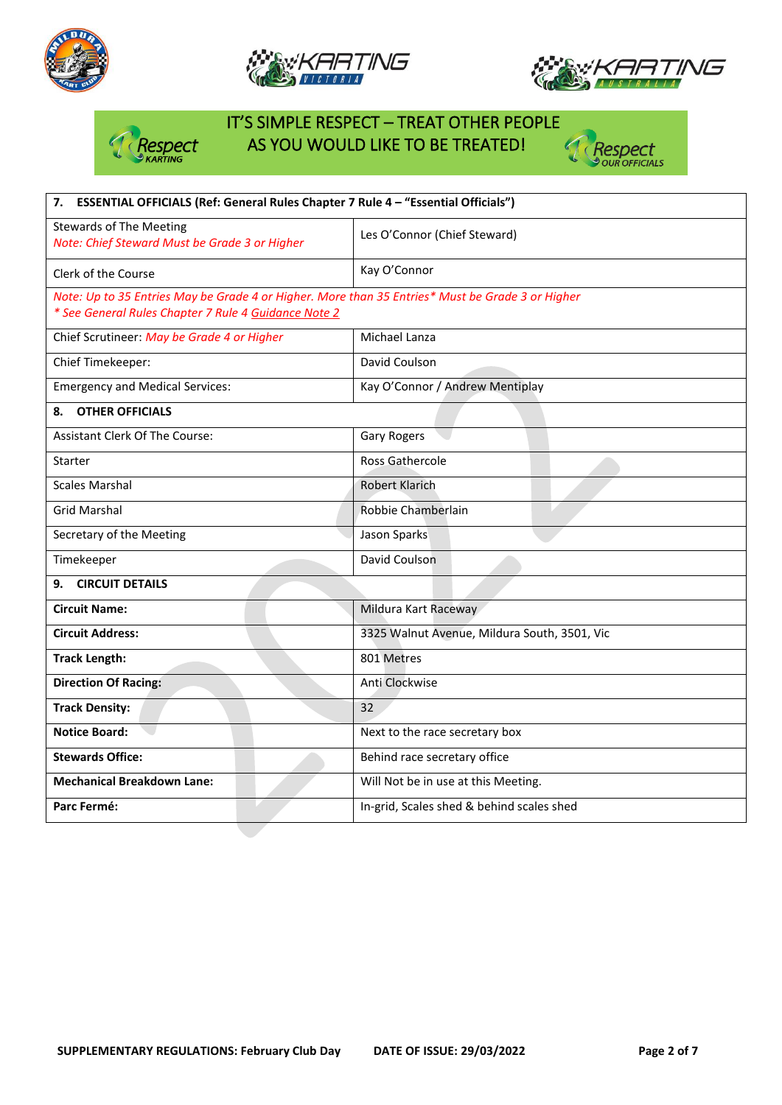







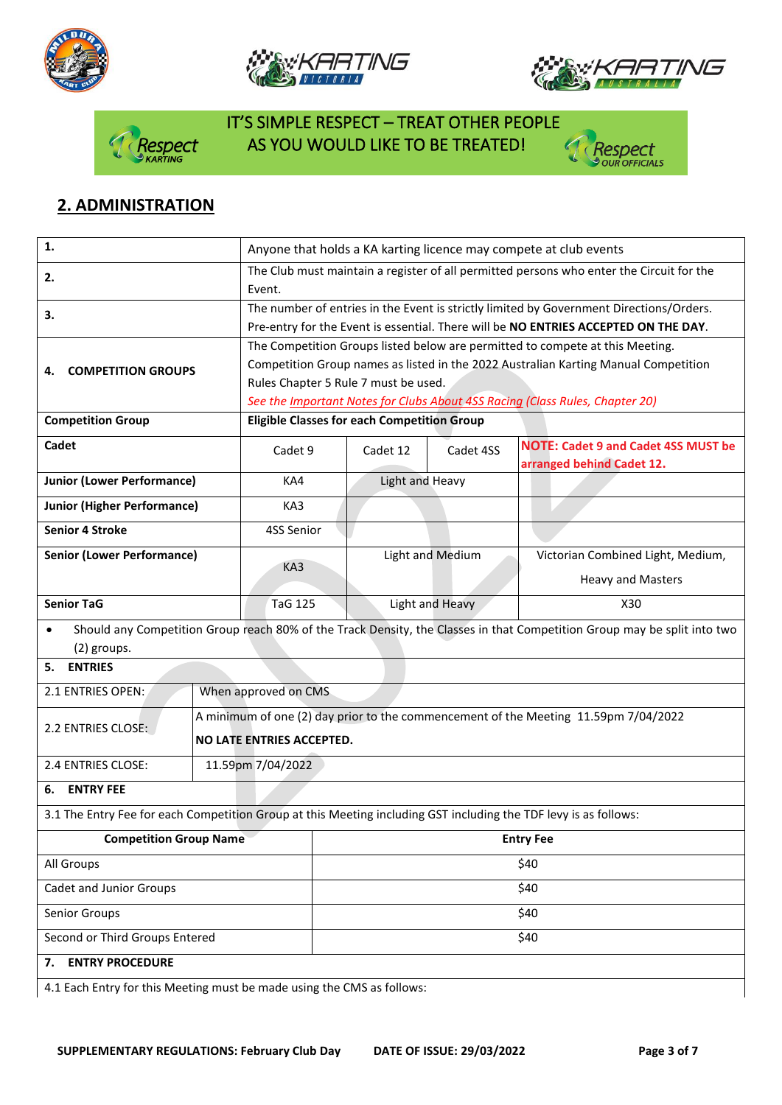









## **2. ADMINISTRATION**

| 1.                                                                                                               | Anyone that holds a KA karting licence may compete at club events                                  |                                                                                                                                    |                 |                  |                                                                         |  |  |
|------------------------------------------------------------------------------------------------------------------|----------------------------------------------------------------------------------------------------|------------------------------------------------------------------------------------------------------------------------------------|-----------------|------------------|-------------------------------------------------------------------------|--|--|
| 2.                                                                                                               | The Club must maintain a register of all permitted persons who enter the Circuit for the<br>Event. |                                                                                                                                    |                 |                  |                                                                         |  |  |
| 3.                                                                                                               | The number of entries in the Event is strictly limited by Government Directions/Orders.            |                                                                                                                                    |                 |                  |                                                                         |  |  |
|                                                                                                                  |                                                                                                    | Pre-entry for the Event is essential. There will be NO ENTRIES ACCEPTED ON THE DAY.                                                |                 |                  |                                                                         |  |  |
|                                                                                                                  |                                                                                                    | The Competition Groups listed below are permitted to compete at this Meeting.                                                      |                 |                  |                                                                         |  |  |
| <b>COMPETITION GROUPS</b><br>4.                                                                                  |                                                                                                    | Competition Group names as listed in the 2022 Australian Karting Manual Competition                                                |                 |                  |                                                                         |  |  |
|                                                                                                                  | Rules Chapter 5 Rule 7 must be used.                                                               |                                                                                                                                    |                 |                  |                                                                         |  |  |
|                                                                                                                  |                                                                                                    | See the Important Notes for Clubs About 4SS Racing (Class Rules, Chapter 20)<br><b>Eligible Classes for each Competition Group</b> |                 |                  |                                                                         |  |  |
| <b>Competition Group</b>                                                                                         |                                                                                                    |                                                                                                                                    |                 |                  |                                                                         |  |  |
| Cadet                                                                                                            |                                                                                                    | Cadet 9                                                                                                                            | Cadet 12        | Cadet 4SS        | <b>NOTE: Cadet 9 and Cadet 4SS MUST be</b><br>arranged behind Cadet 12. |  |  |
| <b>Junior (Lower Performance)</b>                                                                                |                                                                                                    | KA4                                                                                                                                | Light and Heavy |                  |                                                                         |  |  |
| <b>Junior (Higher Performance)</b>                                                                               |                                                                                                    | KA3                                                                                                                                |                 |                  |                                                                         |  |  |
| <b>Senior 4 Stroke</b>                                                                                           |                                                                                                    | 4SS Senior                                                                                                                         |                 |                  |                                                                         |  |  |
| <b>Senior (Lower Performance)</b>                                                                                |                                                                                                    |                                                                                                                                    |                 | Light and Medium | Victorian Combined Light, Medium,                                       |  |  |
|                                                                                                                  |                                                                                                    | KA3                                                                                                                                |                 |                  | <b>Heavy and Masters</b>                                                |  |  |
| <b>Senior TaG</b>                                                                                                |                                                                                                    | TaG 125                                                                                                                            | Light and Heavy |                  | X30                                                                     |  |  |
| $\bullet$                                                                                                        |                                                                                                    | Should any Competition Group reach 80% of the Track Density, the Classes in that Competition Group may be split into two           |                 |                  |                                                                         |  |  |
| (2) groups.                                                                                                      |                                                                                                    |                                                                                                                                    |                 |                  |                                                                         |  |  |
| <b>ENTRIES</b><br>5.                                                                                             |                                                                                                    |                                                                                                                                    |                 |                  |                                                                         |  |  |
| 2.1 ENTRIES OPEN:                                                                                                | When approved on CMS                                                                               |                                                                                                                                    |                 |                  |                                                                         |  |  |
| 2.2 ENTRIES CLOSE:                                                                                               |                                                                                                    | A minimum of one (2) day prior to the commencement of the Meeting 11.59pm 7/04/2022                                                |                 |                  |                                                                         |  |  |
|                                                                                                                  |                                                                                                    | NO LATE ENTRIES ACCEPTED.                                                                                                          |                 |                  |                                                                         |  |  |
| 2.4 ENTRIES CLOSE:                                                                                               |                                                                                                    | 11.59pm 7/04/2022                                                                                                                  |                 |                  |                                                                         |  |  |
| <b>ENTRY FEE</b><br>6.                                                                                           |                                                                                                    |                                                                                                                                    |                 |                  |                                                                         |  |  |
| 3.1 The Entry Fee for each Competition Group at this Meeting including GST including the TDF levy is as follows: |                                                                                                    |                                                                                                                                    |                 |                  |                                                                         |  |  |
| <b>Competition Group Name</b>                                                                                    | <b>Entry Fee</b>                                                                                   |                                                                                                                                    |                 |                  |                                                                         |  |  |
| All Groups                                                                                                       |                                                                                                    | \$40                                                                                                                               |                 |                  |                                                                         |  |  |
| Cadet and Junior Groups                                                                                          | \$40                                                                                               |                                                                                                                                    |                 |                  |                                                                         |  |  |
| Senior Groups                                                                                                    | \$40                                                                                               |                                                                                                                                    |                 |                  |                                                                         |  |  |
| Second or Third Groups Entered                                                                                   |                                                                                                    | \$40                                                                                                                               |                 |                  |                                                                         |  |  |
| <b>ENTRY PROCEDURE</b><br>7.                                                                                     |                                                                                                    |                                                                                                                                    |                 |                  |                                                                         |  |  |
| 4.1 Each Entry for this Meeting must be made using the CMS as follows:                                           |                                                                                                    |                                                                                                                                    |                 |                  |                                                                         |  |  |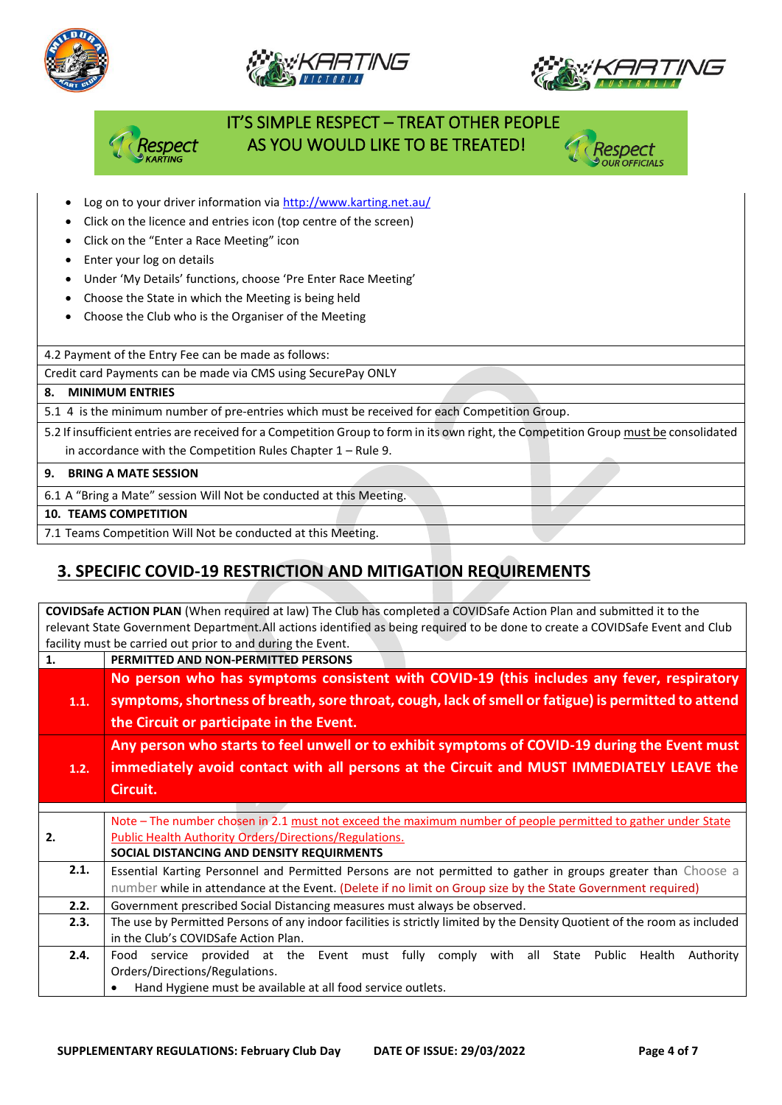







- Log on to your driver information vi[a http://www.karting.net.au/](http://www.karting.net.au/)
- Click on the licence and entries icon (top centre of the screen)
- Click on the "Enter a Race Meeting" icon
- Enter your log on details
- Under 'My Details' functions, choose 'Pre Enter Race Meeting'
- Choose the State in which the Meeting is being held
- Choose the Club who is the Organiser of the Meeting

4.2 Payment of the Entry Fee can be made as follows:

Credit card Payments can be made via CMS using SecurePay ONLY

#### **8. MINIMUM ENTRIES**

5.1 4 is the minimum number of pre-entries which must be received for each Competition Group.

5.2 If insufficient entries are received for a Competition Group to form in its own right, the Competition Group must be consolidated in accordance with the Competition Rules Chapter 1 – Rule 9.

#### **9. BRING A MATE SESSION**

6.1 A "Bring a Mate" session Will Not be conducted at this Meeting.

#### **10. TEAMS COMPETITION**

7.1 Teams Competition Will Not be conducted at this Meeting.

## **3. SPECIFIC COVID-19 RESTRICTION AND MITIGATION REQUIREMENTS**

**COVIDSafe ACTION PLAN** (When required at law) The Club has completed a COVIDSafe Action Plan and submitted it to the relevant State Government Department.All actions identified as being required to be done to create a COVIDSafe Event and Club facility must be carried out prior to and during the Event. **1. PERMITTED AND NON-PERMITTED PERSONS 1.1. No person who has symptoms consistent with COVID-19 (this includes any fever, respiratory symptoms, shortness of breath, sore throat, cough, lack of smell or fatigue) is permitted to attend the Circuit or participate in the Event. 1.2. Any person who starts to feel unwell or to exhibit symptoms of COVID-19 during the Event must immediately avoid contact with all persons at the Circuit and MUST IMMEDIATELY LEAVE the Circuit. 2.** Note – The number chosen in 2.1 must not exceed the maximum number of people permitted to gather under State Public Health Authority Orders/Directions/Regulations. **SOCIAL DISTANCING AND DENSITY REQUIRMENTS 2.1.** Essential Karting Personnel and Permitted Persons are not permitted to gather in groups greater than Choose a number while in attendance at the Event. (Delete if no limit on Group size by the State Government required) **2.2.** Government prescribed Social Distancing measures must always be observed. **2.3.** The use by Permitted Persons of any indoor facilities is strictly limited by the Density Quotient of the room as included in the Club's COVIDSafe Action Plan. **2.4.** Food service provided at the Event must fully comply with all State Public Health Authority Orders/Directions/Regulations. • Hand Hygiene must be available at all food service outlets.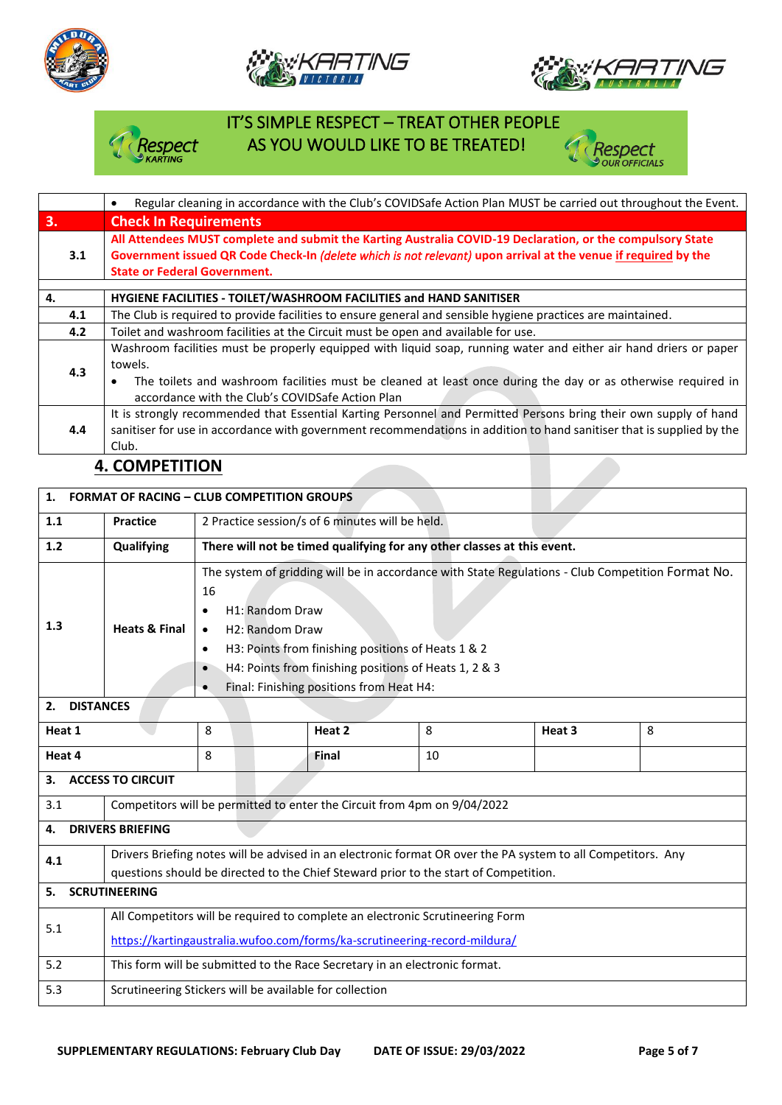







## **4. COMPETITION**

| <b>FORMAT OF RACING - CLUB COMPETITION GROUPS</b><br>1.        |                                                                                                                                                                                                                                                                                                                                                                                                                         |                                                                         |              |    |        |   |  |
|----------------------------------------------------------------|-------------------------------------------------------------------------------------------------------------------------------------------------------------------------------------------------------------------------------------------------------------------------------------------------------------------------------------------------------------------------------------------------------------------------|-------------------------------------------------------------------------|--------------|----|--------|---|--|
| 1.1                                                            | <b>Practice</b>                                                                                                                                                                                                                                                                                                                                                                                                         | 2 Practice session/s of 6 minutes will be held.                         |              |    |        |   |  |
| $1.2$                                                          | Qualifying                                                                                                                                                                                                                                                                                                                                                                                                              | There will not be timed qualifying for any other classes at this event. |              |    |        |   |  |
| 1.3                                                            | The system of gridding will be in accordance with State Regulations - Club Competition Format No.<br>16<br>H <sub>1</sub> : Random Draw<br>$\bullet$<br><b>Heats &amp; Final</b><br>H <sub>2</sub> : Random Draw<br>$\bullet$<br>H3: Points from finishing positions of Heats 1 & 2<br>٠<br>H4: Points from finishing positions of Heats 1, 2 & 3<br>$\bullet$<br>Final: Finishing positions from Heat H4:<br>$\bullet$ |                                                                         |              |    |        |   |  |
| <b>DISTANCES</b><br>2.                                         |                                                                                                                                                                                                                                                                                                                                                                                                                         |                                                                         |              |    |        |   |  |
| Heat 1                                                         |                                                                                                                                                                                                                                                                                                                                                                                                                         | 8                                                                       | Heat 2       | 8  | Heat 3 | 8 |  |
| Heat 4                                                         |                                                                                                                                                                                                                                                                                                                                                                                                                         | 8                                                                       | <b>Final</b> | 10 |        |   |  |
| <b>ACCESS TO CIRCUIT</b><br>3.                                 |                                                                                                                                                                                                                                                                                                                                                                                                                         |                                                                         |              |    |        |   |  |
| 3.1                                                            | Competitors will be permitted to enter the Circuit from 4pm on 9/04/2022                                                                                                                                                                                                                                                                                                                                                |                                                                         |              |    |        |   |  |
| <b>DRIVERS BRIEFING</b><br>4.                                  |                                                                                                                                                                                                                                                                                                                                                                                                                         |                                                                         |              |    |        |   |  |
| 4.1                                                            | Drivers Briefing notes will be advised in an electronic format OR over the PA system to all Competitors. Any<br>questions should be directed to the Chief Steward prior to the start of Competition.                                                                                                                                                                                                                    |                                                                         |              |    |        |   |  |
| <b>SCRUTINEERING</b><br>5.                                     |                                                                                                                                                                                                                                                                                                                                                                                                                         |                                                                         |              |    |        |   |  |
| 5.1                                                            | All Competitors will be required to complete an electronic Scrutineering Form<br>https://kartingaustralia.wufoo.com/forms/ka-scrutineering-record-mildura/                                                                                                                                                                                                                                                              |                                                                         |              |    |        |   |  |
| 5.2                                                            | This form will be submitted to the Race Secretary in an electronic format.                                                                                                                                                                                                                                                                                                                                              |                                                                         |              |    |        |   |  |
| Scrutineering Stickers will be available for collection<br>5.3 |                                                                                                                                                                                                                                                                                                                                                                                                                         |                                                                         |              |    |        |   |  |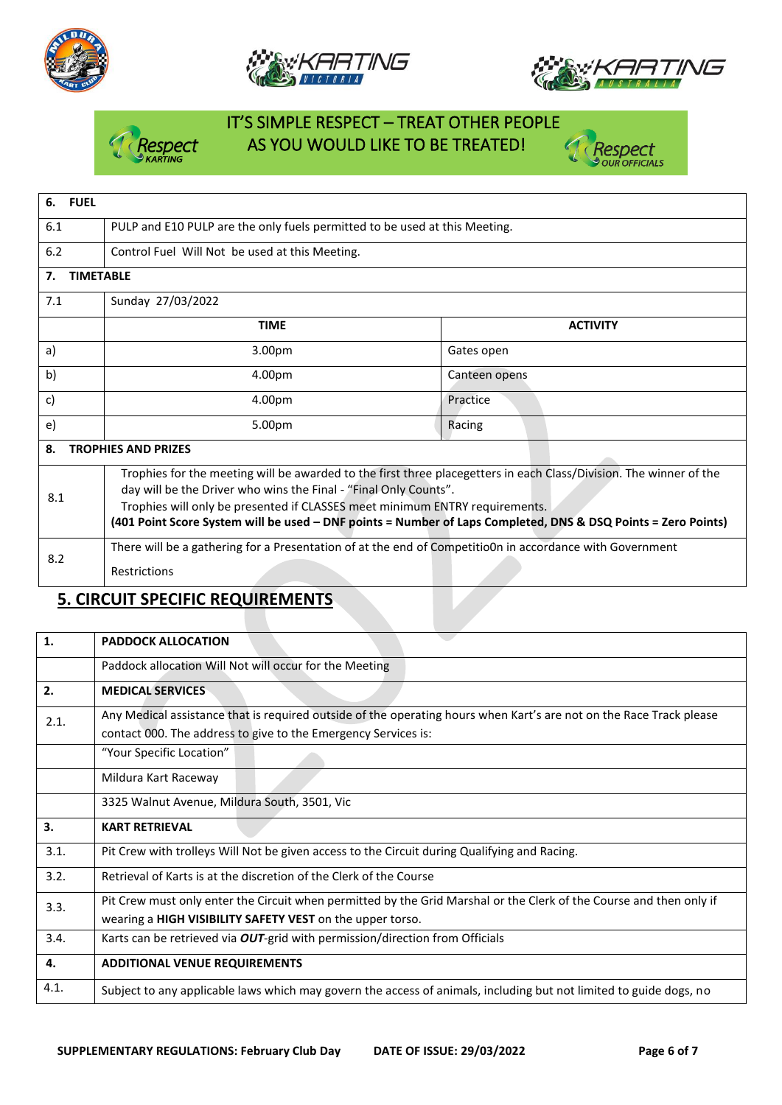







## **5. CIRCUIT SPECIFIC REQUIREMENTS**

| $\mathbf{1}$ | <b>PADDOCK ALLOCATION</b>                                                                                                                                                             |
|--------------|---------------------------------------------------------------------------------------------------------------------------------------------------------------------------------------|
|              | Paddock allocation Will Not will occur for the Meeting                                                                                                                                |
| 2.           | <b>MEDICAL SERVICES</b>                                                                                                                                                               |
| 2.1.         | Any Medical assistance that is required outside of the operating hours when Kart's are not on the Race Track please<br>contact 000. The address to give to the Emergency Services is: |
|              | "Your Specific Location"                                                                                                                                                              |
|              | Mildura Kart Raceway                                                                                                                                                                  |
|              | 3325 Walnut Avenue, Mildura South, 3501, Vic                                                                                                                                          |
| 3.           | <b>KART RETRIEVAL</b>                                                                                                                                                                 |
| 3.1.         |                                                                                                                                                                                       |
|              | Pit Crew with trolleys Will Not be given access to the Circuit during Qualifying and Racing.                                                                                          |
| 3.2.         | Retrieval of Karts is at the discretion of the Clerk of the Course                                                                                                                    |
| 3.3.         | Pit Crew must only enter the Circuit when permitted by the Grid Marshal or the Clerk of the Course and then only if<br>wearing a HIGH VISIBILITY SAFETY VEST on the upper torso.      |
| 3.4.         | Karts can be retrieved via OUT-grid with permission/direction from Officials                                                                                                          |
| 4.           | <b>ADDITIONAL VENUE REQUIREMENTS</b>                                                                                                                                                  |